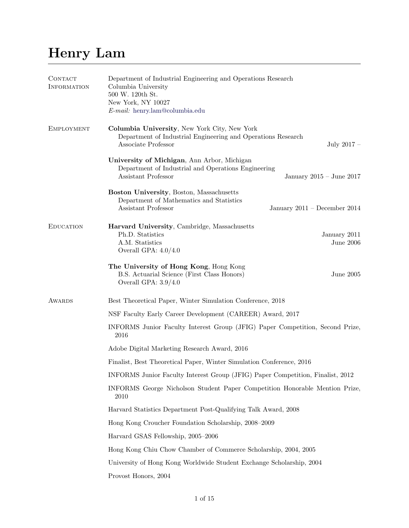# Henry Lam

| CONTACT<br><b>INFORMATION</b> | Department of Industrial Engineering and Operations Research<br>Columbia University<br>500 W. 120th St.<br>New York, NY 10027<br>E-mail: henry.lam@columbia.edu |  |  |
|-------------------------------|-----------------------------------------------------------------------------------------------------------------------------------------------------------------|--|--|
| <b>EMPLOYMENT</b>             | Columbia University, New York City, New York<br>Department of Industrial Engineering and Operations Research<br>Associate Professor<br>July $2017 -$            |  |  |
|                               | University of Michigan, Ann Arbor, Michigan<br>Department of Industrial and Operations Engineering<br>Assistant Professor<br>January $2015 -$ June $2017$       |  |  |
|                               | Boston University, Boston, Massachusetts<br>Department of Mathematics and Statistics<br>Assistant Professor<br>January 2011 – December 2014                     |  |  |
| <b>EDUCATION</b>              | Harvard University, Cambridge, Massachusetts<br>Ph.D. Statistics<br>January 2011<br>A.M. Statistics<br>June $2006$<br>Overall GPA: $4.0/4.0$                    |  |  |
|                               | The University of Hong Kong, Hong Kong<br>B.S. Actuarial Science (First Class Honors)<br><b>June 2005</b><br>Overall GPA: $3.9/4.0$                             |  |  |
| <b>AWARDS</b>                 | Best Theoretical Paper, Winter Simulation Conference, 2018                                                                                                      |  |  |
|                               | NSF Faculty Early Career Development (CAREER) Award, 2017                                                                                                       |  |  |
|                               | INFORMS Junior Faculty Interest Group (JFIG) Paper Competition, Second Prize,<br>2016                                                                           |  |  |
|                               | Adobe Digital Marketing Research Award, 2016                                                                                                                    |  |  |
|                               | Finalist, Best Theoretical Paper, Winter Simulation Conference, 2016                                                                                            |  |  |
|                               | INFORMS Junior Faculty Interest Group (JFIG) Paper Competition, Finalist, 2012                                                                                  |  |  |
|                               | INFORMS George Nicholson Student Paper Competition Honorable Mention Prize,<br>2010                                                                             |  |  |
|                               | Harvard Statistics Department Post-Qualifying Talk Award, 2008                                                                                                  |  |  |
|                               | Hong Kong Croucher Foundation Scholarship, 2008-2009                                                                                                            |  |  |
|                               | Harvard GSAS Fellowship, 2005-2006                                                                                                                              |  |  |
|                               | Hong Kong Chiu Chow Chamber of Commerce Scholarship, 2004, 2005                                                                                                 |  |  |
|                               | University of Hong Kong Worldwide Student Exchange Scholarship, 2004                                                                                            |  |  |
|                               | Provost Honors, 2004                                                                                                                                            |  |  |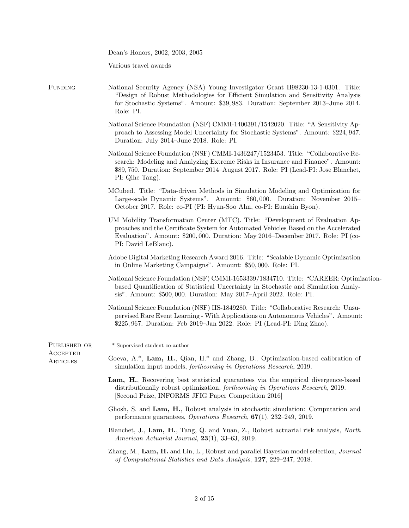|                      | Dean's Honors, 2002, 2003, 2005                                                                                                                                                                                                                                                 |
|----------------------|---------------------------------------------------------------------------------------------------------------------------------------------------------------------------------------------------------------------------------------------------------------------------------|
|                      | Various travel awards                                                                                                                                                                                                                                                           |
| FUNDING              | National Security Agency (NSA) Young Investigator Grant H98230-13-1-0301. Title:<br>"Design of Robust Methodologies for Efficient Simulation and Sensitivity Analysis<br>for Stochastic Systems". Amount: \$39,983. Duration: September 2013–June 2014.<br>Role: PI.            |
|                      | National Science Foundation (NSF) CMMI-1400391/1542020. Title: "A Sensitivity Ap-<br>proach to Assessing Model Uncertainty for Stochastic Systems". Amount: \$224, 947.<br>Duration: July 2014-June 2018. Role: PI.                                                             |
|                      | National Science Foundation (NSF) CMMI-1436247/1523453. Title: "Collaborative Re-<br>search: Modeling and Analyzing Extreme Risks in Insurance and Finance". Amount:<br>\$89,750. Duration: September 2014–August 2017. Role: PI (Lead-PI: Jose Blanchet,<br>PI: Qihe Tang).    |
|                      | MCubed. Title: "Data-driven Methods in Simulation Modeling and Optimization for<br>Large-scale Dynamic Systems". Amount: \$60,000. Duration: November 2015–<br>October 2017. Role: co-PI (PI: Hyun-Soo Ahn, co-PI: Eunshin Byon).                                               |
|                      | UM Mobility Transformation Center (MTC). Title: "Development of Evaluation Ap-<br>proaches and the Certificate System for Automated Vehicles Based on the Accelerated<br>Evaluation". Amount: \$200,000. Duration: May 2016–December 2017. Role: PI (co-<br>PI: David LeBlanc). |
|                      | Adobe Digital Marketing Research Award 2016. Title: "Scalable Dynamic Optimization"<br>in Online Marketing Campaigns". Amount: \$50,000. Role: PI.                                                                                                                              |
|                      | National Science Foundation (NSF) CMMI-1653339/1834710. Title: "CAREER: Optimization-<br>based Quantification of Statistical Uncertainty in Stochastic and Simulation Analy-<br>sis". Amount: \$500,000. Duration: May 2017-April 2022. Role: PI.                               |
|                      | National Science Foundation (NSF) IIS-1849280. Title: "Collaborative Research: Unsu-<br>pervised Rare Event Learning - With Applications on Autonomous Vehicles". Amount:<br>\$225,967. Duration: Feb 2019–Jan 2022. Role: PI (Lead-PI: Ding Zhao).                             |
| PUBLISHED OR         | * Supervised student co-author                                                                                                                                                                                                                                                  |
| ACCEPTED<br>ARTICLES | Goeva, $A^*$ , Lam, H., Qian, H. <sup>*</sup> and Zhang, B., Optimization-based calibration of<br>simulation input models, <i>forthcoming in Operations Research</i> , 2019.                                                                                                    |
|                      | Lam, H., Recovering best statistical guarantees via the empirical divergence-based<br>distributionally robust optimization, <i>forthcoming in Operations Research</i> , 2019.<br>[Second Prize, INFORMS JFIG Paper Competition 2016]                                            |
|                      | Ghosh, S. and Lam, H., Robust analysis in stochastic simulation: Computation and<br>performance guarantees, <i>Operations Research</i> , $67(1)$ , 232-249, 2019.                                                                                                               |
|                      | Blanchet, J., Lam, H., Tang, Q. and Yuan, Z., Robust actuarial risk analysis, North<br>American Actuarial Journal, 23(1), 33-63, 2019.                                                                                                                                          |
|                      | Zhang, M., Lam, H. and Lin, L., Robust and parallel Bayesian model selection, Journal<br>of Computational Statistics and Data Analysis, 127, 229-247, 2018.                                                                                                                     |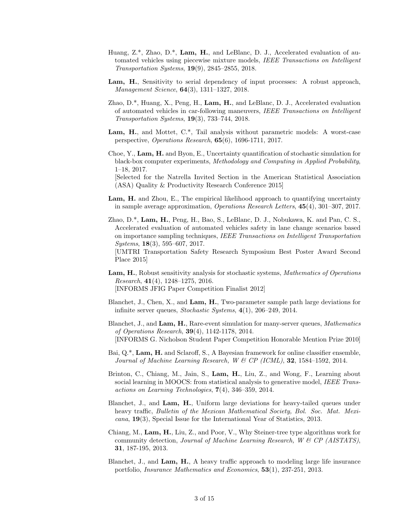- Huang,  $Z^*$ , Zhao, D.<sup>\*</sup>, Lam, H., and LeBlanc, D. J., Accelerated evaluation of automated vehicles using piecewise mixture models, IEEE Transactions on Intelligent Transportation Systems, 19(9), 2845–2855, 2018.
- Lam, H., Sensitivity to serial dependency of input processes: A robust approach, Management Science, 64(3), 1311–1327, 2018.
- Zhao, D.\*, Huang, X., Peng, H., Lam, H., and LeBlanc, D. J., Accelerated evaluation of automated vehicles in car-following maneuvers, IEEE Transactions on Intelligent Transportation Systems, 19(3), 733–744, 2018.
- Lam, H., and Mottet, C.\*, Tail analysis without parametric models: A worst-case perspective, Operations Research, 65(6), 1696-1711, 2017.
- Choe, Y., Lam, H. and Byon, E., Uncertainty quantification of stochastic simulation for black-box computer experiments, Methodology and Computing in Applied Probability, 1–18, 2017.

[Selected for the Natrella Invited Section in the American Statistical Association (ASA) Quality & Productivity Research Conference 2015]

- Lam, H. and Zhou, E., The empirical likelihood approach to quantifying uncertainty in sample average approximation, Operations Research Letters, 45(4), 301–307, 2017.
- Zhao, D.\*, Lam, H., Peng, H., Bao, S., LeBlanc, D. J., Nobukawa, K. and Pan, C. S., Accelerated evaluation of automated vehicles safety in lane change scenarios based on importance sampling techniques, IEEE Transactions on Intelligent Transportation Systems, 18(3), 595–607, 2017. [UMTRI Transportation Safety Research Symposium Best Poster Award Second Place 2015]
- Lam, H., Robust sensitivity analysis for stochastic systems, Mathematics of Operations *Research*,  $41(4)$ ,  $1248-1275$ ,  $2016$ . [INFORMS JFIG Paper Competition Finalist 2012]
- Blanchet, J., Chen, X., and Lam, H., Two-parameter sample path large deviations for infinite server queues, Stochastic Systems, 4(1), 206–249, 2014.
- Blanchet, J., and Lam, H., Rare-event simulation for many-server queues, Mathematics of Operations Research, 39(4), 1142-1178, 2014. [INFORMS G. Nicholson Student Paper Competition Honorable Mention Prize 2010]
- Bai, Q.\*, Lam, H. and Sclaroff, S., A Bayesian framework for online classifier ensemble, Journal of Machine Learning Research, W & CP (ICML), **32**, 1584–1592, 2014.
- Brinton, C., Chiang, M., Jain, S., Lam, H., Liu, Z., and Wong, F., Learning about social learning in MOOCS: from statistical analysis to generative model, IEEE Transactions on Learning Technologies, 7(4), 346–359, 2014.
- Blanchet, J., and Lam, H., Uniform large deviations for heavy-tailed queues under heavy traffic, Bulletin of the Mexican Mathematical Society, Bol. Soc. Mat. Mexicana, 19(3), Special Issue for the International Year of Statistics, 2013.
- Chiang, M., Lam, H., Liu, Z., and Poor, V., Why Steiner-tree type algorithms work for community detection, Journal of Machine Learning Research, W & CP (AISTATS), 31, 187-195, 2013.
- Blanchet, J., and Lam, H., A heavy traffic approach to modeling large life insurance portfolio, Insurance Mathematics and Economics, 53(1), 237-251, 2013.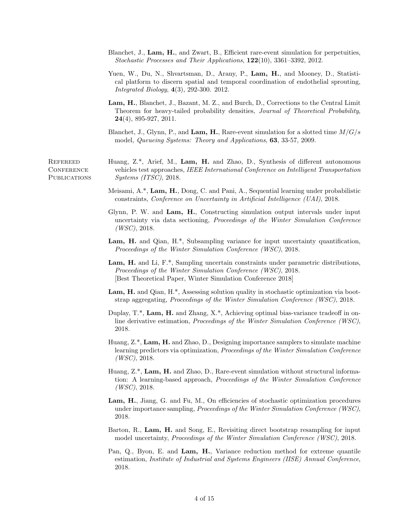- Blanchet, J., Lam, H., and Zwart, B., Efficient rare-event simulation for perpetuities, Stochastic Processes and Their Applications, 122(10), 3361–3392, 2012.
- Yuen, W., Du, N., Shvartsman, D., Arany, P., Lam, H., and Mooney, D., Statistical platform to discern spatial and temporal coordination of endothelial sprouting, Integrated Biology, 4(3), 292-300. 2012.
- Lam, H., Blanchet, J., Bazant, M. Z., and Burch, D., Corrections to the Central Limit Theorem for heavy-tailed probability densities, Journal of Theoretical Probability, 24(4), 895-927, 2011.
- Blanchet, J., Glynn, P., and Lam, H., Rare-event simulation for a slotted time  $M/G/s$ model, Queueing Systems: Theory and Applications, 63, 33-57, 2009.

**REFEREED CONFERENCE PUBLICATIONS** 

- Huang, Z.\*, Arief, M., Lam, H. and Zhao, D., Synthesis of different autonomous vehicles test approaches, IEEE International Conference on Intelligent Transportation Systems (ITSC), 2018.
- Meisami, A.\*, Lam, H., Dong, C. and Pani, A., Sequential learning under probabilistic constraints, Conference on Uncertainty in Artificial Intelligence (UAI), 2018.
- Glynn, P. W. and Lam, H., Constructing simulation output intervals under input uncertainty via data sectioning, Proceedings of the Winter Simulation Conference  $(WSC), 2018.$
- Lam, H. and Qian, H.\*, Subsampling variance for input uncertainty quantification, Proceedings of the Winter Simulation Conference (WSC), 2018.
- Lam, H. and Li, F.\*, Sampling uncertain constraints under parametric distributions, Proceedings of the Winter Simulation Conference (WSC), 2018. [Best Theoretical Paper, Winter Simulation Conference 2018]
- Lam, H. and Qian, H.<sup>\*</sup>, Assessing solution quality in stochastic optimization via bootstrap aggregating, Proceedings of the Winter Simulation Conference (WSC), 2018.
- Duplay, T.\*, Lam, H. and Zhang, X.\*, Achieving optimal bias-variance tradeoff in online derivative estimation, Proceedings of the Winter Simulation Conference (WSC), 2018.
- Huang,  $Z^*$ , Lam, H. and Zhao, D., Designing importance samplers to simulate machine learning predictors via optimization, Proceedings of the Winter Simulation Conference  $(WSC), 2018.$
- Huang,  $Z^*$ , Lam, H. and Zhao, D., Rare-event simulation without structural information: A learning-based approach, Proceedings of the Winter Simulation Conference  $(WSC)$ , 2018.
- Lam, H., Jiang, G. and Fu, M., On efficiencies of stochastic optimization procedures under importance sampling, Proceedings of the Winter Simulation Conference (WSC), 2018.
- Barton, R., Lam, H. and Song, E., Revisiting direct bootstrap resampling for input model uncertainty, Proceedings of the Winter Simulation Conference (WSC), 2018.
- Pan, Q., Byon, E. and Lam, H., Variance reduction method for extreme quantile estimation, Institute of Industrial and Systems Engineers (IISE) Annual Conference, 2018.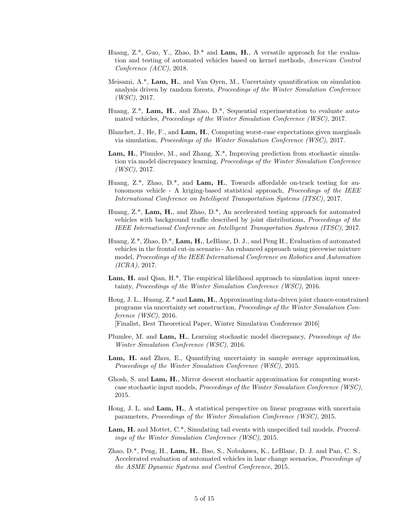- Huang,  $Z^*$ , Guo, Y., Zhao, D.<sup>\*</sup> and **Lam, H.**, A versatile approach for the evaluation and testing of automated vehicles based on kernel methods, American Control Conference (ACC), 2018.
- Meisami, A.\*, Lam, H., and Van Oyen, M., Uncertainty quantification on simulation analysis driven by random forests, Proceedings of the Winter Simulation Conference  $(WSC), 2017.$
- Huang,  $Z^*$ , Lam, H., and Zhao, D.<sup>\*</sup>, Sequential experimentation to evaluate automated vehicles, Proceedings of the Winter Simulation Conference (WSC), 2017.
- Blanchet, J., He, F., and Lam, H., Computing worst-case expectations given marginals via simulation, Proceedings of the Winter Simulation Conference (WSC), 2017.
- Lam, H., Plumlee, M., and Zhang, X.\*, Improving prediction from stochastic simulation via model discrepancy learning, Proceedings of the Winter Simulation Conference  $(WSC), 2017.$
- Huang,  $Z^*$ , Zhao,  $D^*$ , and Lam, H., Towards affordable on-track testing for autonomous vehicle - A kriging-based statistical approach, Proceedings of the IEEE International Conference on Intelligent Transportation Systems (ITSC), 2017.
- Huang, Z.\*, Lam, H., and Zhao, D.\*, An accelerated testing approach for automated vehicles with background traffic described by joint distributions, Proceedings of the IEEE International Conference on Intelligent Transportation Systems (ITSC), 2017.
- Huang, Z.\*, Zhao, D.\*, Lam, H., LeBlanc, D. J., and Peng H., Evaluation of automated vehicles in the frontal cut-in scenario - An enhanced approach using piecewise mixture model, Proceedings of the IEEE International Conference on Robotics and Automation (ICRA), 2017.
- Lam, H. and Qian, H.<sup>\*</sup>, The empirical likelihood approach to simulation input uncertainty, Proceedings of the Winter Simulation Conference (WSC), 2016.
- Hong, J. L., Huang,  $Z^*$  and  $Lam$ ,  $H<sub>l</sub>$ , Approximating data-driven joint chance-constrained programs via uncertainty set construction, Proceedings of the Winter Simulation Conference (WSC), 2016. [Finalist, Best Theoretical Paper, Winter Simulation Conference 2016]
- Plumlee, M. and Lam, H., Learning stochastic model discrepancy, Proceedings of the Winter Simulation Conference (WSC), 2016.
- Lam, H. and Zhou, E., Quantifying uncertainty in sample average approximation, Proceedings of the Winter Simulation Conference (WSC), 2015.
- Ghosh, S. and Lam, H., Mirror descent stochastic approximation for computing worstcase stochastic input models, Proceedings of the Winter Simulation Conference (WSC), 2015.
- Hong, J. L. and Lam, H., A statistical perspective on linear programs with uncertain parameters, Proceedings of the Winter Simulation Conference (WSC), 2015.
- Lam, H. and Mottet, C.\*, Simulating tail events with unspecified tail models, *Proceed*ings of the Winter Simulation Conference (WSC), 2015.
- Zhao, D.\*, Peng, H., Lam, H., Bao, S., Nobukawa, K., LeBlanc, D. J. and Pan, C. S., Accelerated evaluation of automated vehicles in lane change scenarios, Proceedings of the ASME Dynamic Systems and Control Conference, 2015.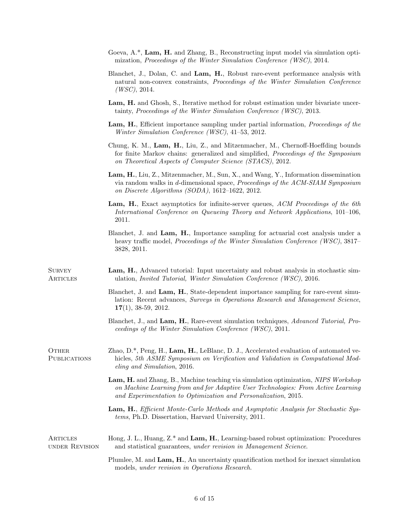|                              | mization, Proceedings of the Winter Simulation Conference (WSC), 2014.                                                                                                                                                                    |
|------------------------------|-------------------------------------------------------------------------------------------------------------------------------------------------------------------------------------------------------------------------------------------|
|                              | Blanchet, J., Dolan, C. and Lam, H., Robust rare-event performance analysis with<br>natural non-convex constraints, Proceedings of the Winter Simulation Conference<br>(WSC), 2014.                                                       |
|                              | Lam, H. and Ghosh, S., Iterative method for robust estimation under bivariate uncer-<br>tainty, Proceedings of the Winter Simulation Conference (WSC), 2013.                                                                              |
|                              | Lam, H., Efficient importance sampling under partial information, <i>Proceedings of the</i><br>Winter Simulation Conference (WSC), 41-53, 2012.                                                                                           |
|                              | Chung, K. M., Lam, H., Liu, Z., and Mitzenmacher, M., Chernoff-Hoeffding bounds<br>for finite Markov chains: generalized and simplified, <i>Proceedings of the Symposium</i><br>on Theoretical Aspects of Computer Science (STACS), 2012. |
|                              | Lam, H., Liu, Z., Mitzenmacher, M., Sun, X., and Wang, Y., Information dissemination<br>via random walks in d-dimensional space, Proceedings of the ACM-SIAM Symposium<br>on Discrete Algorithms (SODA), 1612-1622, 2012.                 |
|                              | Lam, H., Exact asymptotics for infinite-server queues, ACM Proceedings of the 6th<br>International Conference on Queueing Theory and Network Applications, 101-106,<br>2011.                                                              |
|                              | Blanchet, J. and Lam, H., Importance sampling for actuarial cost analysis under a<br>heavy traffic model, <i>Proceedings of the Winter Simulation Conference (WSC)</i> , 3817–<br>3828, 2011.                                             |
| <b>SURVEY</b><br>ARTICLES    | Lam, H., Advanced tutorial: Input uncertainty and robust analysis in stochastic sim-<br>ulation, <i>Invited Tutorial</i> , <i>Winter Simulation Conference (WSC)</i> , 2016.                                                              |
|                              | Blanchet, J. and Lam, H., State-dependent importance sampling for rare-event simu-<br>lation: Recent advances, Surveys in Operations Research and Management Science,<br>$17(1), 38-59, 2012.$                                            |
|                              | Blanchet, J., and Lam, H., Rare-event simulation techniques, Advanced Tutorial, Pro-<br>ceedings of the Winter Simulation Conference (WSC), 2011.                                                                                         |
| OTHER<br><b>PUBLICATIONS</b> | Zhao, D.*, Peng, H., Lam, H., LeBlanc, D. J., Accelerated evaluation of automated ve-<br>hicles, 5th ASME Symposium on Verification and Validation in Computational Mod-<br>eling and Simulation, 2016.                                   |
|                              | Lam, H. and Zhang, B., Machine teaching via simulation optimization, NIPS Workshop<br>on Machine Learning from and for Adaptive User Technologies: From Active Learning<br>and Experimentation to Optimization and Personalization, 2015. |
|                              | Lam, H., Efficient Monte-Carlo Methods and Asymptotic Analysis for Stochastic Sys-<br>tems, Ph.D. Dissertation, Harvard University, 2011.                                                                                                 |
| ARTICLES<br>UNDER REVISION   | Hong, J. L., Huang, $Z^*$ and Lam, H., Learning-based robust optimization: Procedures<br>and statistical guarantees, under revision in Management Science.                                                                                |
|                              | Plumlee, M. and Lam, H., An uncertainty quantification method for inexact simulation<br>models, under revision in Operations Research.                                                                                                    |

Goeva, A.\*, Lam, H. and Zhang, B., Reconstructing input model via simulation opti-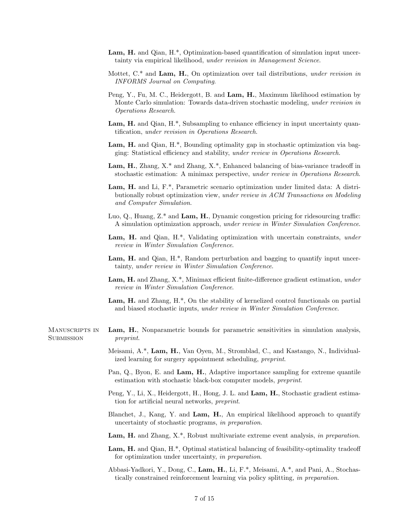- Lam, H. and Qian, H.<sup>\*</sup>, Optimization-based quantification of simulation input uncertainty via empirical likelihood, under revision in Management Science.
- Mottet, C.\* and Lam, H., On optimization over tail distributions, under revision in INFORMS Journal on Computing.
- Peng, Y., Fu, M. C., Heidergott, B. and Lam, H., Maximum likelihood estimation by Monte Carlo simulation: Towards data-driven stochastic modeling, under revision in Operations Research.
- Lam, H. and Qian, H.<sup>\*</sup>, Subsampling to enhance efficiency in input uncertainty quantification, under revision in Operations Research.
- Lam, H. and Qian, H.\*, Bounding optimality gap in stochastic optimization via bagging: Statistical efficiency and stability, under review in Operations Research.
- Lam, H., Zhang, X.\* and Zhang, X.\*, Enhanced balancing of bias-variance tradeoff in stochastic estimation: A minimax perspective, under review in Operations Research.
- Lam, H. and Li, F.\*, Parametric scenario optimization under limited data: A distributionally robust optimization view, under review in ACM Transactions on Modeling and Computer Simulation.
- Luo, Q., Huang, Z.\* and Lam, H., Dynamic congestion pricing for ridesourcing traffic: A simulation optimization approach, under review in Winter Simulation Conference.
- Lam, H. and Qian, H.\*, Validating optimization with uncertain constraints, under review in Winter Simulation Conference.
- Lam, H. and Qian, H.<sup>\*</sup>, Random perturbation and bagging to quantify input uncertainty, under review in Winter Simulation Conference.
- Lam, H. and Zhang, X.\*, Minimax efficient finite-difference gradient estimation, under review in Winter Simulation Conference.
- Lam, H. and Zhang, H.\*, On the stability of kernelized control functionals on partial and biased stochastic inputs, under review in Winter Simulation Conference.
- Manuscripts in **SUBMISSION** Lam, H., Nonparametric bounds for parametric sensitivities in simulation analysis, preprint.
	- Meisami, A.\*, Lam, H., Van Oyen, M., Stromblad, C., and Kastango, N., Individualized learning for surgery appointment scheduling, preprint.
	- Pan, Q., Byon, E. and Lam, H., Adaptive importance sampling for extreme quantile estimation with stochastic black-box computer models, preprint.
	- Peng, Y., Li, X., Heidergott, H., Hong, J. L. and Lam, H., Stochastic gradient estimation for artificial neural networks, preprint.
	- Blanchet, J., Kang, Y. and Lam, H., An empirical likelihood approach to quantify uncertainty of stochastic programs, in preparation.
	- Lam, H. and Zhang, X.\*, Robust multivariate extreme event analysis, in preparation.
	- Lam, H. and Qian, H.<sup>\*</sup>, Optimal statistical balancing of feasibility-optimality tradeoff for optimization under uncertainty, in preparation.
	- Abbasi-Yadkori, Y., Dong, C., Lam, H., Li, F.\*, Meisami, A.\*, and Pani, A., Stochastically constrained reinforcement learning via policy splitting, in preparation.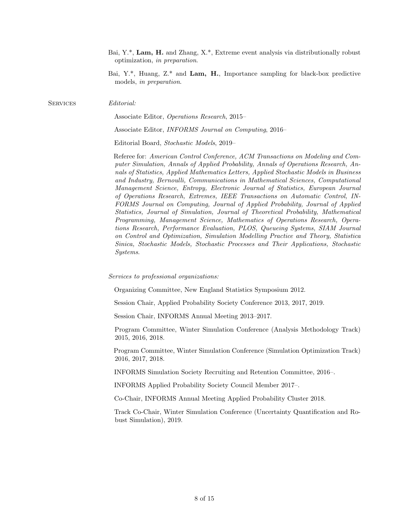- Bai, Y.\*, Lam, H. and Zhang, X.\*, Extreme event analysis via distributionally robust optimization, in preparation.
- Bai, Y.\*, Huang, Z.\* and Lam, H., Importance sampling for black-box predictive models, in preparation.

SERVICES Editorial:

Associate Editor, Operations Research, 2015–

Associate Editor, INFORMS Journal on Computing, 2016–

Editorial Board, Stochastic Models, 2019–

Referee for: American Control Conference, ACM Transactions on Modeling and Computer Simulation, Annals of Applied Probability, Annals of Operations Research, Annals of Statistics, Applied Mathematics Letters, Applied Stochastic Models in Business and Industry, Bernoulli, Communications in Mathematical Sciences, Computational Management Science, Entropy, Electronic Journal of Statistics, European Journal of Operations Research, Extremes, IEEE Transactions on Automatic Control, IN-FORMS Journal on Computing, Journal of Applied Probability, Journal of Applied Statistics, Journal of Simulation, Journal of Theoretical Probability, Mathematical Programming, Management Science, Mathematics of Operations Research, Operations Research, Performance Evaluation, PLOS, Queueing Systems, SIAM Journal on Control and Optimization, Simulation Modelling Practice and Theory, Statistica Sinica, Stochastic Models, Stochastic Processes and Their Applications, Stochastic Systems.

Services to professional organizations:

Organizing Committee, New England Statistics Symposium 2012.

Session Chair, Applied Probability Society Conference 2013, 2017, 2019.

Session Chair, INFORMS Annual Meeting 2013–2017.

Program Committee, Winter Simulation Conference (Analysis Methodology Track) 2015, 2016, 2018.

Program Committee, Winter Simulation Conference (Simulation Optimization Track) 2016, 2017, 2018.

INFORMS Simulation Society Recruiting and Retention Committee, 2016–.

INFORMS Applied Probability Society Council Member 2017–.

Co-Chair, INFORMS Annual Meeting Applied Probability Cluster 2018.

Track Co-Chair, Winter Simulation Conference (Uncertainty Quantification and Robust Simulation), 2019.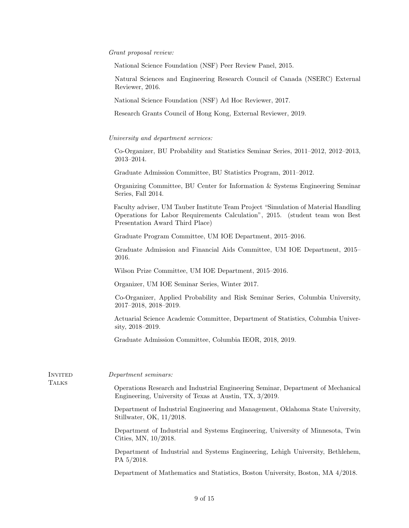## Grant proposal review:

National Science Foundation (NSF) Peer Review Panel, 2015.

Natural Sciences and Engineering Research Council of Canada (NSERC) External Reviewer, 2016.

National Science Foundation (NSF) Ad Hoc Reviewer, 2017.

Research Grants Council of Hong Kong, External Reviewer, 2019.

### University and department services:

Co-Organizer, BU Probability and Statistics Seminar Series, 2011–2012, 2012–2013, 2013–2014.

Graduate Admission Committee, BU Statistics Program, 2011–2012.

Organizing Committee, BU Center for Information & Systems Engineering Seminar Series, Fall 2014.

Faculty adviser, UM Tauber Institute Team Project "Simulation of Material Handling Operations for Labor Requirements Calculation", 2015. (student team won Best Presentation Award Third Place)

Graduate Program Committee, UM IOE Department, 2015–2016.

Graduate Admission and Financial Aids Committee, UM IOE Department, 2015– 2016.

Wilson Prize Committee, UM IOE Department, 2015–2016.

Organizer, UM IOE Seminar Series, Winter 2017.

Co-Organizer, Applied Probability and Risk Seminar Series, Columbia University, 2017–2018, 2018–2019.

Actuarial Science Academic Committee, Department of Statistics, Columbia University, 2018–2019.

Graduate Admission Committee, Columbia IEOR, 2018, 2019.

| INVITED<br><b>TALKS</b> | Department seminars:                                                                                                                        |
|-------------------------|---------------------------------------------------------------------------------------------------------------------------------------------|
|                         | Operations Research and Industrial Engineering Seminar, Department of Mechanical<br>Engineering, University of Texas at Austin, TX, 3/2019. |
|                         | Department of Industrial Engineering and Management, Oklahoma State University,<br>Stillwater, OK, 11/2018.                                 |
|                         | Department of Industrial and Systems Engineering, University of Minnesota, Twin<br>Cities, MN, 10/2018.                                     |
|                         | Department of Industrial and Systems Engineering, Lehigh University, Bethlehem,<br>PA 5/2018.                                               |
|                         | Department of Mathematics and Statistics, Boston University, Boston, MA 4/2018.                                                             |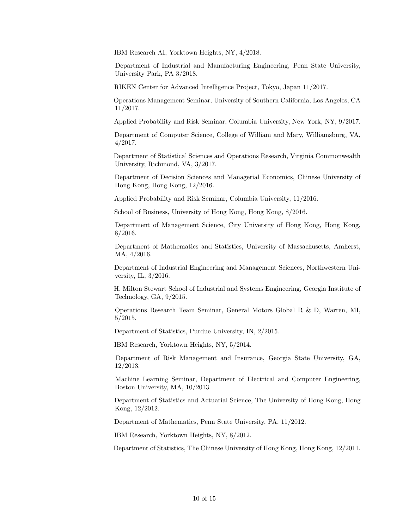IBM Research AI, Yorktown Heights, NY, 4/2018.

Department of Industrial and Manufacturing Engineering, Penn State University, University Park, PA 3/2018.

RIKEN Center for Advanced Intelligence Project, Tokyo, Japan 11/2017.

Operations Management Seminar, University of Southern California, Los Angeles, CA 11/2017.

Applied Probability and Risk Seminar, Columbia University, New York, NY, 9/2017.

Department of Computer Science, College of William and Mary, Williamsburg, VA, 4/2017.

Department of Statistical Sciences and Operations Research, Virginia Commonwealth University, Richmond, VA, 3/2017.

Department of Decision Sciences and Managerial Economics, Chinese University of Hong Kong, Hong Kong, 12/2016.

Applied Probability and Risk Seminar, Columbia University, 11/2016.

School of Business, University of Hong Kong, Hong Kong, 8/2016.

Department of Management Science, City University of Hong Kong, Hong Kong, 8/2016.

Department of Mathematics and Statistics, University of Massachusetts, Amherst, MA, 4/2016.

Department of Industrial Engineering and Management Sciences, Northwestern University, IL, 3/2016.

H. Milton Stewart School of Industrial and Systems Engineering, Georgia Institute of Technology, GA, 9/2015.

Operations Research Team Seminar, General Motors Global R & D, Warren, MI, 5/2015.

Department of Statistics, Purdue University, IN, 2/2015.

IBM Research, Yorktown Heights, NY, 5/2014.

Department of Risk Management and Insurance, Georgia State University, GA, 12/2013.

Machine Learning Seminar, Department of Electrical and Computer Engineering, Boston University, MA, 10/2013.

Department of Statistics and Actuarial Science, The University of Hong Kong, Hong Kong, 12/2012.

Department of Mathematics, Penn State University, PA, 11/2012.

IBM Research, Yorktown Heights, NY, 8/2012.

Department of Statistics, The Chinese University of Hong Kong, Hong Kong, 12/2011.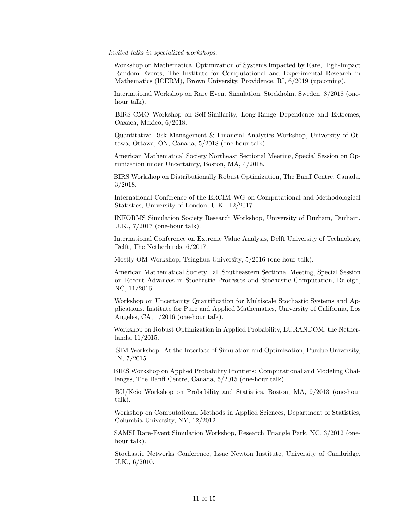#### Invited talks in specialized workshops:

Workshop on Mathematical Optimization of Systems Impacted by Rare, High-Impact Random Events, The Institute for Computational and Experimental Research in Mathematics (ICERM), Brown University, Providence, RI, 6/2019 (upcoming).

International Workshop on Rare Event Simulation, Stockholm, Sweden, 8/2018 (onehour talk).

BIRS-CMO Workshop on Self-Similarity, Long-Range Dependence and Extremes, Oaxaca, Mexico, 6/2018.

Quantitative Risk Management & Financial Analytics Workshop, University of Ottawa, Ottawa, ON, Canada, 5/2018 (one-hour talk).

American Mathematical Society Northeast Sectional Meeting, Special Session on Optimization under Uncertainty, Boston, MA, 4/2018.

BIRS Workshop on Distributionally Robust Optimization, The Banff Centre, Canada, 3/2018.

International Conference of the ERCIM WG on Computational and Methodological Statistics, University of London, U.K., 12/2017.

INFORMS Simulation Society Research Workshop, University of Durham, Durham, U.K., 7/2017 (one-hour talk).

International Conference on Extreme Value Analysis, Delft University of Technology, Delft, The Netherlands, 6/2017.

Mostly OM Workshop, Tsinghua University, 5/2016 (one-hour talk).

American Mathematical Society Fall Southeastern Sectional Meeting, Special Session on Recent Advances in Stochastic Processes and Stochastic Computation, Raleigh, NC, 11/2016.

Workshop on Uncertainty Quantification for Multiscale Stochastic Systems and Applications, Institute for Pure and Applied Mathematics, University of California, Los Angeles, CA, 1/2016 (one-hour talk).

Workshop on Robust Optimization in Applied Probability, EURANDOM, the Netherlands, 11/2015.

ISIM Workshop: At the Interface of Simulation and Optimization, Purdue University, IN, 7/2015.

BIRS Workshop on Applied Probability Frontiers: Computational and Modeling Challenges, The Banff Centre, Canada, 5/2015 (one-hour talk).

BU/Keio Workshop on Probability and Statistics, Boston, MA, 9/2013 (one-hour talk).

Workshop on Computational Methods in Applied Sciences, Department of Statistics, Columbia University, NY, 12/2012.

SAMSI Rare-Event Simulation Workshop, Research Triangle Park, NC, 3/2012 (onehour talk).

Stochastic Networks Conference, Issac Newton Institute, University of Cambridge, U.K., 6/2010.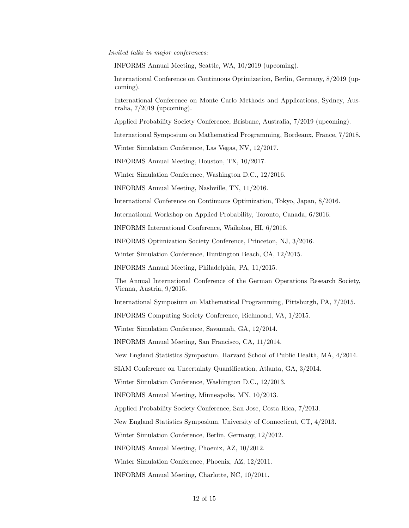#### Invited talks in major conferences:

INFORMS Annual Meeting, Seattle, WA, 10/2019 (upcoming).

International Conference on Continuous Optimization, Berlin, Germany, 8/2019 (upcoming).

International Conference on Monte Carlo Methods and Applications, Sydney, Australia, 7/2019 (upcoming).

Applied Probability Society Conference, Brisbane, Australia, 7/2019 (upcoming).

International Symposium on Mathematical Programming, Bordeaux, France, 7/2018.

Winter Simulation Conference, Las Vegas, NV, 12/2017.

INFORMS Annual Meeting, Houston, TX, 10/2017.

Winter Simulation Conference, Washington D.C., 12/2016.

INFORMS Annual Meeting, Nashville, TN, 11/2016.

International Conference on Continuous Optimization, Tokyo, Japan, 8/2016.

International Workshop on Applied Probability, Toronto, Canada, 6/2016.

INFORMS International Conference, Waikoloa, HI, 6/2016.

INFORMS Optimization Society Conference, Princeton, NJ, 3/2016.

Winter Simulation Conference, Huntington Beach, CA, 12/2015.

INFORMS Annual Meeting, Philadelphia, PA, 11/2015.

The Annual International Conference of the German Operations Research Society, Vienna, Austria, 9/2015.

International Symposium on Mathematical Programming, Pittsburgh, PA, 7/2015.

INFORMS Computing Society Conference, Richmond, VA, 1/2015.

Winter Simulation Conference, Savannah, GA, 12/2014.

INFORMS Annual Meeting, San Francisco, CA, 11/2014.

New England Statistics Symposium, Harvard School of Public Health, MA, 4/2014.

SIAM Conference on Uncertainty Quantification, Atlanta, GA, 3/2014.

Winter Simulation Conference, Washington D.C., 12/2013.

INFORMS Annual Meeting, Minneapolis, MN, 10/2013.

Applied Probability Society Conference, San Jose, Costa Rica, 7/2013.

New England Statistics Symposium, University of Connecticut, CT, 4/2013.

Winter Simulation Conference, Berlin, Germany, 12/2012.

INFORMS Annual Meeting, Phoenix, AZ, 10/2012.

Winter Simulation Conference, Phoenix, AZ, 12/2011.

INFORMS Annual Meeting, Charlotte, NC, 10/2011.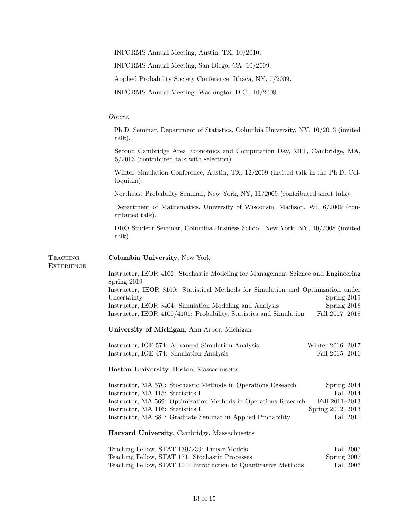INFORMS Annual Meeting, Austin, TX, 10/2010.

INFORMS Annual Meeting, San Diego, CA, 10/2009.

Applied Probability Society Conference, Ithaca, NY, 7/2009.

INFORMS Annual Meeting, Washington D.C., 10/2008.

## Others:

Ph.D. Seminar, Department of Statistics, Columbia University, NY, 10/2013 (invited talk).

Second Cambridge Area Economics and Computation Day, MIT, Cambridge, MA, 5/2013 (contributed talk with selection).

Winter Simulation Conference, Austin, TX, 12/2009 (invited talk in the Ph.D. Colloquium).

Northeast Probability Seminar, New York, NY, 11/2009 (contributed short talk).

Department of Mathematics, University of Wisconsin, Madison, WI, 6/2009 (contributed talk).

DRO Student Seminar, Columbia Business School, New York, NY, 10/2008 (invited talk).

| <b>TEACHING</b><br><b>EXPERIENCE</b> | Columbia University, New York                                                                    |                   |  |
|--------------------------------------|--------------------------------------------------------------------------------------------------|-------------------|--|
|                                      | Instructor, IEOR 4102: Stochastic Modeling for Management Science and Engineering<br>Spring 2019 |                   |  |
|                                      | Instructor, IEOR 8100: Statistical Methods for Simulation and Optimization under<br>Uncertainty  | Spring 2019       |  |
|                                      | Instructor, IEOR 3404: Simulation Modeling and Analysis                                          | Spring 2018       |  |
|                                      | Instructor, IEOR 4100/4101: Probability, Statistics and Simulation                               | Fall 2017, 2018   |  |
|                                      | University of Michigan, Ann Arbor, Michigan                                                      |                   |  |
|                                      | Instructor, IOE 574: Advanced Simulation Analysis                                                | Winter 2016, 2017 |  |
|                                      | Instructor, IOE 474: Simulation Analysis                                                         | Fall 2015, 2016   |  |
|                                      | Boston University, Boston, Massachusetts                                                         |                   |  |
|                                      | Instructor, MA 570: Stochastic Methods in Operations Research                                    | Spring $2014$     |  |
|                                      | Instructor, MA 115: Statistics I                                                                 | Fall 2014         |  |
|                                      | Instructor, MA 569: Optimization Methods in Operations Research                                  | Fall 2011-2013    |  |
|                                      | Instructor, MA 116: Statistics II                                                                | Spring 2012, 2013 |  |
|                                      | Instructor, MA 881: Graduate Seminar in Applied Probability                                      | Fall 2011         |  |
|                                      | Harvard University, Cambridge, Massachusetts                                                     |                   |  |
|                                      | Teaching Fellow, STAT 139/239: Linear Models                                                     | Fall 2007         |  |
|                                      | Teaching Fellow, STAT 171: Stochastic Processes                                                  | Spring 2007       |  |
|                                      | Teaching Fellow, STAT 104: Introduction to Quantitative Methods                                  | Fall 2006         |  |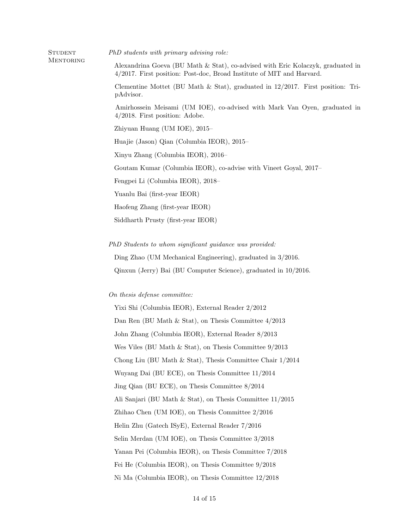STUDENT PhD students with primary advising role:

**MENTORING** 

Alexandrina Goeva (BU Math & Stat), co-advised with Eric Kolaczyk, graduated in 4/2017. First position: Post-doc, Broad Institute of MIT and Harvard.

Clementine Mottet (BU Math & Stat), graduated in 12/2017. First position: TripAdvisor.

Amirhossein Meisami (UM IOE), co-advised with Mark Van Oyen, graduated in 4/2018. First position: Adobe.

Zhiyuan Huang (UM IOE), 2015–

Huajie (Jason) Qian (Columbia IEOR), 2015–

Xinyu Zhang (Columbia IEOR), 2016–

Goutam Kumar (Columbia IEOR), co-advise with Vineet Goyal, 2017–

Fengpei Li (Columbia IEOR), 2018–

Yuanlu Bai (first-year IEOR)

Haofeng Zhang (first-year IEOR)

Siddharth Prusty (first-year IEOR)

PhD Students to whom significant guidance was provided:

Ding Zhao (UM Mechanical Engineering), graduated in 3/2016.

Qinxun (Jerry) Bai (BU Computer Science), graduated in 10/2016.

On thesis defense committee:

Yixi Shi (Columbia IEOR), External Reader 2/2012 Dan Ren (BU Math & Stat), on Thesis Committee 4/2013 John Zhang (Columbia IEOR), External Reader 8/2013 Wes Viles (BU Math  $\&$  Stat), on Thesis Committee  $9/2013$ Chong Liu (BU Math & Stat), Thesis Committee Chair 1/2014 Wuyang Dai (BU ECE), on Thesis Committee 11/2014 Jing Qian (BU ECE), on Thesis Committee 8/2014 Ali Sanjari (BU Math & Stat), on Thesis Committee 11/2015 Zhihao Chen (UM IOE), on Thesis Committee 2/2016 Helin Zhu (Gatech ISyE), External Reader 7/2016 Selin Merdan (UM IOE), on Thesis Committee 3/2018 Yanan Pei (Columbia IEOR), on Thesis Committee 7/2018 Fei He (Columbia IEOR), on Thesis Committee 9/2018 Ni Ma (Columbia IEOR), on Thesis Committee 12/2018